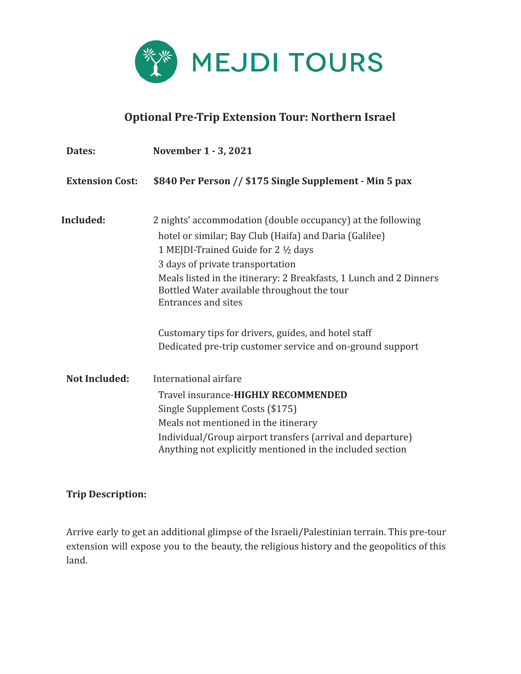

## **Optional Pre-Trip Extension Tour: Northern Israel**

| Dates:                 | November 1 - 3, 2021                                                                                                                                                                                                                                                                                                                                 |
|------------------------|------------------------------------------------------------------------------------------------------------------------------------------------------------------------------------------------------------------------------------------------------------------------------------------------------------------------------------------------------|
| <b>Extension Cost:</b> | \$840 Per Person // \$175 Single Supplement - Min 5 pax                                                                                                                                                                                                                                                                                              |
| <b>Included:</b>       | 2 nights' accommodation (double occupancy) at the following<br>hotel or similar; Bay Club (Haifa) and Daria (Galilee)<br>1 MEJDI-Trained Guide for 2 1/2 days<br>3 days of private transportation<br>Meals listed in the itinerary: 2 Breakfasts, 1 Lunch and 2 Dinners<br>Bottled Water available throughout the tour<br><b>Entrances and sites</b> |
|                        | Customary tips for drivers, guides, and hotel staff<br>Dedicated pre-trip customer service and on-ground support                                                                                                                                                                                                                                     |
| <b>Not Included:</b>   | International airfare<br>Travel insurance-HIGHLY RECOMMENDED<br>Single Supplement Costs (\$175)<br>Meals not mentioned in the itinerary<br>Individual/Group airport transfers (arrival and departure)<br>Anything not explicitly mentioned in the included section                                                                                   |

## **Trip Description:**

Arrive early to get an additional glimpse of the Israeli/Palestinian terrain. This pre-tour extension will expose you to the beauty, the religious history and the geopolitics of this land.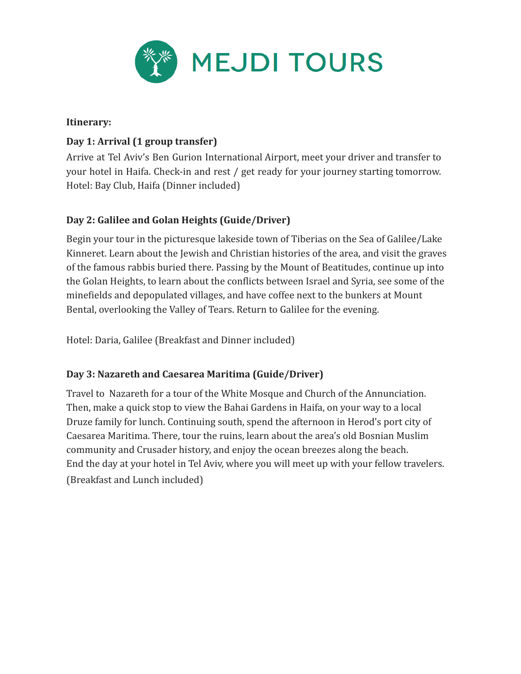

#### **Itinerary:**

## **Day 1: Arrival (1 group transfer)**

Arrive at Tel Aviv's Ben Gurion International Airport, meet your driver and transfer to your hotel in Haifa. Check-in and rest / get ready for your journey starting tomorrow. Hotel: Bay Club, Haifa (Dinner included)

## **Day 2: Galilee and Golan Heights (Guide/Driver)**

Begin your tour in the picturesque lakeside town of Tiberias on the Sea of Galilee/Lake Kinneret. Learn about the Jewish and Christian histories of the area, and visit the graves of the famous rabbis buried there. Passing by the Mount of Beatitudes, continue up into the Golan Heights, to learn about the conflicts between Israel and Syria, see some of the minefields and depopulated villages, and have coffee next to the bunkers at Mount Bental, overlooking the Valley of Tears. Return to Galilee for the evening.

Hotel: Daria, Galilee (Breakfast and Dinner included)

## **Day 3: Nazareth and Caesarea Maritima (Guide/Driver)**

Travel to Nazareth for a tour of the White Mosque and Church of the Annunciation. Then, make a quick stop to view the Bahai Gardens in Haifa, on your way to a local Druze family for lunch. Continuing south, spend the afternoon in Herod's port city of Caesarea Maritima. There, tour the ruins, learn about the area's old Bosnian Muslim community and Crusader history, and enjoy the ocean breezes along the beach. End the day at your hotel in Tel Aviv, where you will meet up with your fellow travelers. (Breakfast and Lunch included)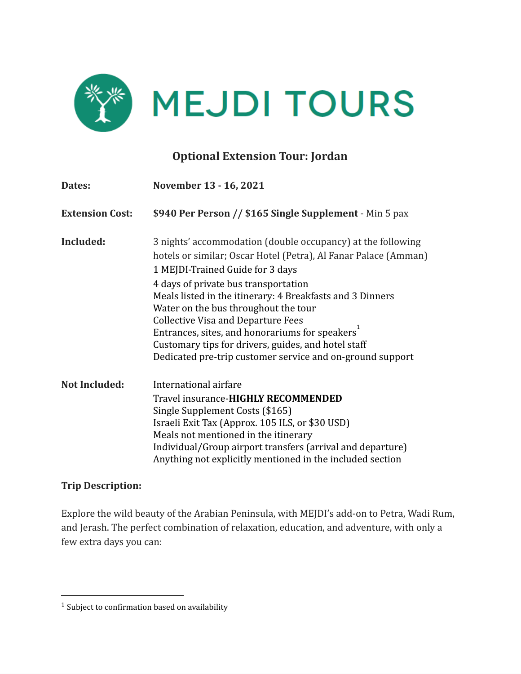

# **Optional Extension Tour: Jordan**

| Dates:                 | November 13 - 16, 2021                                                                                                                                                                                                                                                                                                                                                                                                                                                                                                                          |
|------------------------|-------------------------------------------------------------------------------------------------------------------------------------------------------------------------------------------------------------------------------------------------------------------------------------------------------------------------------------------------------------------------------------------------------------------------------------------------------------------------------------------------------------------------------------------------|
| <b>Extension Cost:</b> | \$940 Per Person // \$165 Single Supplement - Min 5 pax                                                                                                                                                                                                                                                                                                                                                                                                                                                                                         |
| Included:              | 3 nights' accommodation (double occupancy) at the following<br>hotels or similar; Oscar Hotel (Petra), Al Fanar Palace (Amman)<br>1 MEJDI-Trained Guide for 3 days<br>4 days of private bus transportation<br>Meals listed in the itinerary: 4 Breakfasts and 3 Dinners<br>Water on the bus throughout the tour<br><b>Collective Visa and Departure Fees</b><br>Entrances, sites, and honorariums for speakers <sup>1</sup><br>Customary tips for drivers, guides, and hotel staff<br>Dedicated pre-trip customer service and on-ground support |
| <b>Not Included:</b>   | International airfare<br>Travel insurance-HIGHLY RECOMMENDED<br>Single Supplement Costs (\$165)<br>Israeli Exit Tax (Approx. 105 ILS, or \$30 USD)<br>Meals not mentioned in the itinerary<br>Individual/Group airport transfers (arrival and departure)<br>Anything not explicitly mentioned in the included section                                                                                                                                                                                                                           |

#### **Trip Description:**

Explore the wild beauty of the Arabian Peninsula, with MEJDI's add-on to Petra, Wadi Rum, and Jerash. The perfect combination of relaxation, education, and adventure, with only a few extra days you can:

 $^{\rm 1}$  Subject to confirmation based on availability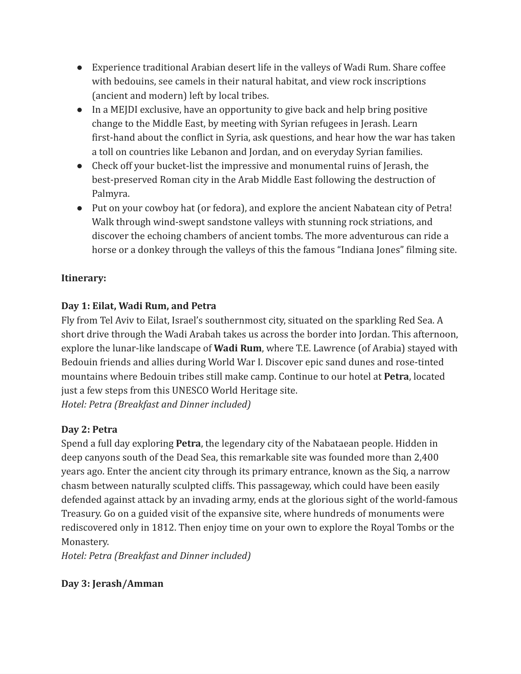- Experience traditional Arabian desert life in the valleys of Wadi Rum. Share coffee with bedouins, see camels in their natural habitat, and view rock inscriptions (ancient and modern) left by local tribes.
- In a MEJDI exclusive, have an opportunity to give back and help bring positive change to the Middle East, by meeting with Syrian refugees in Jerash. Learn first-hand about the conflict in Syria, ask questions, and hear how the war has taken a toll on countries like Lebanon and Jordan, and on everyday Syrian families.
- Check off your bucket-list the impressive and monumental ruins of Jerash, the best-preserved Roman city in the Arab Middle East following the destruction of Palmyra.
- Put on your cowboy hat (or fedora), and explore the ancient Nabatean city of Petra! Walk through wind-swept sandstone valleys with stunning rock striations, and discover the echoing chambers of ancient tombs. The more adventurous can ride a horse or a donkey through the valleys of this the famous "Indiana Jones" filming site.

## **Itinerary:**

## **Day 1: Eilat, Wadi Rum, and Petra**

Fly from Tel Aviv to Eilat, Israel's southernmost city, situated on the sparkling Red Sea. A short drive through the Wadi Arabah takes us across the border into Jordan. This afternoon, explore the lunar-like landscape of **Wadi Rum**, where T.E. Lawrence (of Arabia) stayed with Bedouin friends and allies during World War I. Discover epic sand dunes and rose-tinted mountains where Bedouin tribes still make camp. Continue to our hotel at **Petra**, located just a few steps from this UNESCO World Heritage site. *Hotel: Petra (Breakfast and Dinner included)*

## **Day 2: Petra**

Spend a full day exploring **Petra**, the legendary city of the Nabataean people. Hidden in deep canyons south of the Dead Sea, this remarkable site was founded more than 2,400 years ago. Enter the ancient city through its primary entrance, known as the Siq, a narrow chasm between naturally sculpted cliffs. This passageway, which could have been easily defended against attack by an invading army, ends at the glorious sight of the world-famous Treasury. Go on a guided visit of the expansive site, where hundreds of monuments were rediscovered only in 1812. Then enjoy time on your own to explore the Royal Tombs or the Monastery.

*Hotel: Petra (Breakfast and Dinner included)*

## **Day 3: Jerash/Amman**